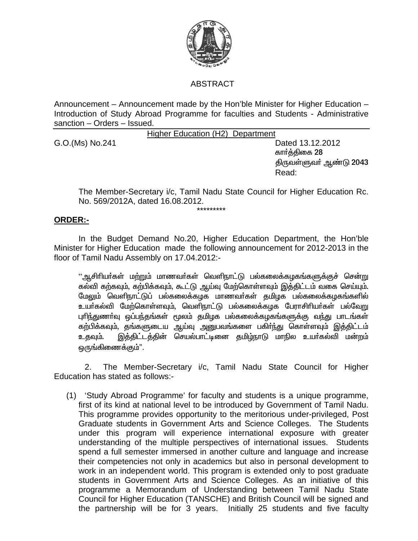

## **ABSTRACT**

Announcement – Announcement made by the Hon'ble Minister for Higher Education – Introduction of Study Abroad Programme for faculties and Students - Administrative sanction - Orders - Issued.

Higher Education (H2) Department

G.O. (Ms) No. 241

Dated 13.12.2012 கார்க்கிகை 28 திருவள்ளுவா் ஆண்டு 2043 Read:

The Member-Secretary i/c, Tamil Nadu State Council for Higher Education Rc. No. 569/2012A, dated 16.08.2012.

## **ORDER:-**

In the Budget Demand No.20, Higher Education Department, the Hon'ble Minister for Higher Education made the following announcement for 2012-2013 in the floor of Tamil Nadu Assembly on 17.04.2012:-

''ஆசிரியா்கள் மற்றும் மாணவா்கள் வெளிநாட்டு பல்கலைக்கழகங்களுக்குச் சென்று கல்வி கற்கவும், கற்பிக்கவும், கூட்டு ஆய்வு மேற்கொள்ளவும் இத்திட்டம் வகை செய்யும். மேலும் வெளிநாட்டுப் பல்கலைக்கழக மாணவர்கள் தமிழக பல்கலைக்கழகங்களில் உயர்கல்வி மேற்கொள்ளவம், வெளிநாட்டு பல்கலைக்கழக பேராசிரியர்கள் பல்வேறு புரிந்துணாவு ஒப்பந்தங்கள் மூலம் தமிழக பல்கலைக்கழகங்களுக்கு வந்து பாடங்கள் கற்பிக்கவும், தங்களுடைய ஆய்வு அனுபவங்களை பகிா்ந்து கொள்ளவும் இத்திட்டம் இத்திட்டத்தின் செயல்பாட்டினை தமிழ்நாடு மாநில உயர்கல்வி மன்றம் உகவும். ஒருங்கிணைக்கும்".

2. The Member-Secretary i/c, Tamil Nadu State Council for Higher Education has stated as follows:-

(1) 'Study Abroad Programme' for faculty and students is a unique programme, first of its kind at national level to be introduced by Government of Tamil Nadu. This programme provides opportunity to the meritorious under-privileged, Post Graduate students in Government Arts and Science Colleges. The Students under this program will experience international exposure with greater understanding of the multiple perspectives of international issues. Students spend a full semester immersed in another culture and language and increase their competencies not only in academics but also in personal development to work in an independent world. This program is extended only to post graduate students in Government Arts and Science Colleges. As an initiative of this programme a Memorandum of Understanding between Tamil Nadu State Council for Higher Education (TANSCHE) and British Council will be signed and the partnership will be for 3 years. Initially 25 students and five faculty